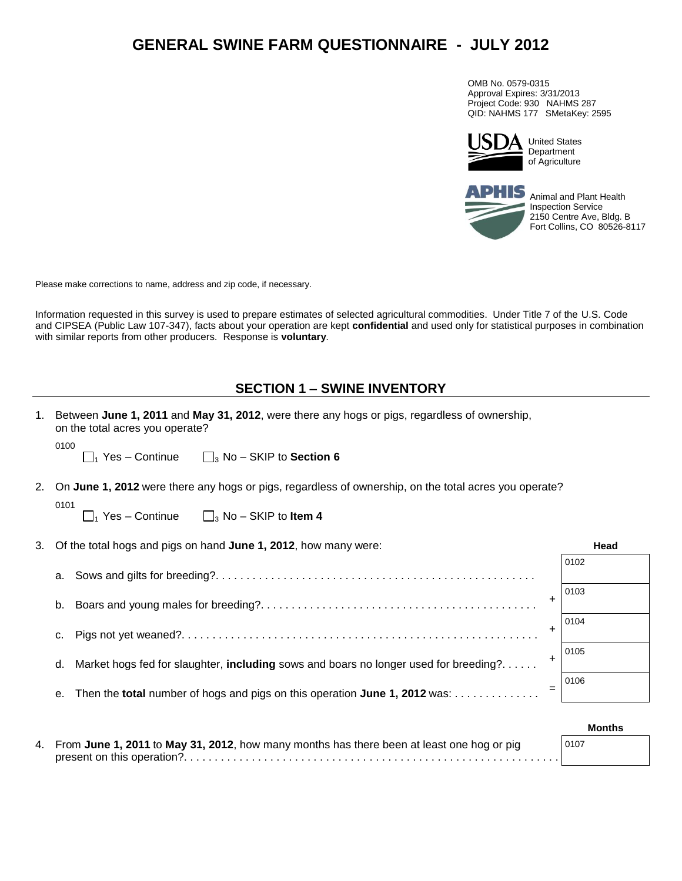# **GENERAL SWINE FARM QUESTIONNAIRE - JULY 2012**

OMB No. 0579-0315 Approval Expires: 3/31/2013 Project Code: 930 NAHMS 287 QID: NAHMS 177 SMetaKey: 2595



United States Department of Agriculture



Animal and Plant Health Inspection Service 2150 Centre Ave, Bldg. B Fort Collins, CO 80526-8117

Please make corrections to name, address and zip code, if necessary.

Information requested in this survey is used to prepare estimates of selected agricultural commodities. Under Title 7 of the U.S. Code and CIPSEA (Public Law 107-347), facts about your operation are kept **confidential** and used only for statistical purposes in combination with similar reports from other producers. Response is **voluntary**.

## **SECTION 1 – SWINE INVENTORY**

|    | Between June 1, 2011 and May 31, 2012, were there any hogs or pigs, regardless of ownership,<br>on the total acres you operate? |      |  |  |  |  |
|----|---------------------------------------------------------------------------------------------------------------------------------|------|--|--|--|--|
|    | 0100<br>$\Box_1$ Yes – Continue $\Box_3$ No – SKIP to <b>Section 6</b>                                                          |      |  |  |  |  |
|    | 2. On June 1, 2012 were there any hogs or pigs, regardless of ownership, on the total acres you operate?                        |      |  |  |  |  |
|    | 0101<br>$\Box_1$ Yes – Continue $\Box_3$ No – SKIP to <b>Item 4</b>                                                             |      |  |  |  |  |
| 3. | Of the total hogs and pigs on hand June 1, 2012, how many were:                                                                 | Head |  |  |  |  |
|    | а.                                                                                                                              | 0102 |  |  |  |  |
|    | $\ddot{}$<br>b.                                                                                                                 | 0103 |  |  |  |  |
|    | $\ddot{}$<br>c.                                                                                                                 | 0104 |  |  |  |  |
|    | ٠<br>Market hogs fed for slaughter, including sows and boars no longer used for breeding?<br>d.                                 | 0105 |  |  |  |  |
|    | Then the total number of hogs and pigs on this operation June 1, 2012 was:<br>е.                                                | 0106 |  |  |  |  |
|    |                                                                                                                                 |      |  |  |  |  |

|                                                                                              | <b>Months</b> |
|----------------------------------------------------------------------------------------------|---------------|
| 4. From June 1, 2011 to May 31, 2012, how many months has there been at least one hog or pig | 0107          |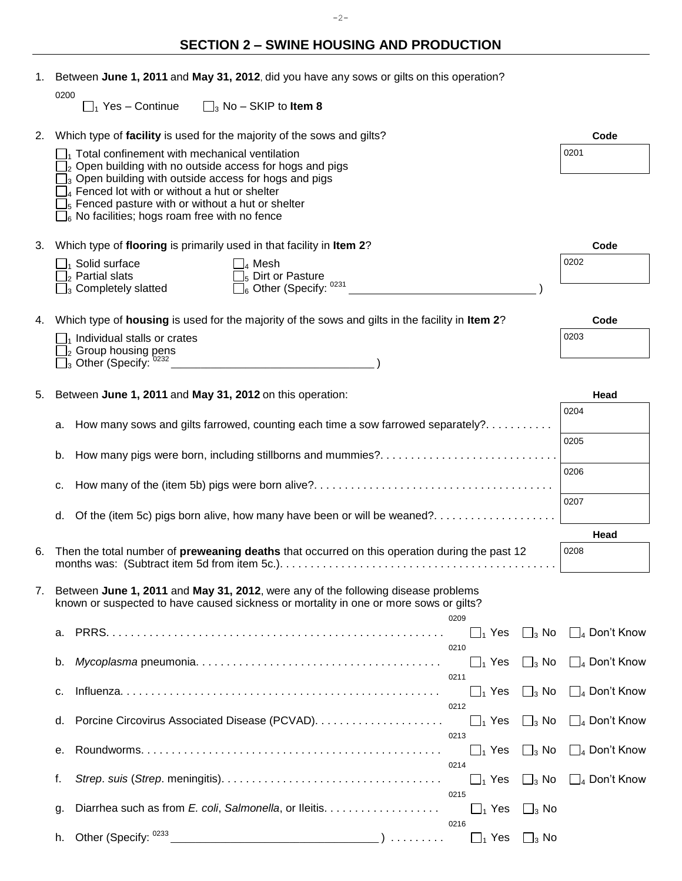# **SECTION 2 – SWINE HOUSING AND PRODUCTION**

| 1. |      | Between June 1, 2011 and May 31, 2012, did you have any sows or gilts on this operation?                                                                                                                                                                                                                                                                                                                |                                |
|----|------|---------------------------------------------------------------------------------------------------------------------------------------------------------------------------------------------------------------------------------------------------------------------------------------------------------------------------------------------------------------------------------------------------------|--------------------------------|
|    | 0200 | $\Box_1$ Yes – Continue $\Box_3$ No – SKIP to <b>Item 8</b>                                                                                                                                                                                                                                                                                                                                             |                                |
|    |      | 2. Which type of facility is used for the majority of the sows and gilts?                                                                                                                                                                                                                                                                                                                               | Code                           |
|    |      | $\Box$ <sub>1</sub> Total confinement with mechanical ventilation<br>$\mathbb{J}_2$ Open building with no outside access for hogs and pigs<br>$\Box$ <sub>3</sub> Open building with outside access for hogs and pigs<br>$\Box_4$ Fenced lot with or without a hut or shelter<br>$\mathbb{J}_5$ Fenced pasture with or without a hut or shelter<br>$\Box_6$ No facilities; hogs roam free with no fence | 0201                           |
| 3. |      | Which type of flooring is primarily used in that facility in Item 2?                                                                                                                                                                                                                                                                                                                                    | Code                           |
|    |      | $\Box_1$ Solid surface<br>$\Box_4$ Mesh                                                                                                                                                                                                                                                                                                                                                                 | 0202                           |
|    |      | $\Box$ <sub>2</sub> Partial slats<br>$\square_5$ Dirt or Pasture<br>$\square_6$ Other (Specify: 0231<br>$\Box_3$ Completely slatted                                                                                                                                                                                                                                                                     |                                |
|    |      | 4. Which type of housing is used for the majority of the sows and gilts in the facility in Item 2?                                                                                                                                                                                                                                                                                                      | Code                           |
|    |      | $\Box$ <sub>1</sub> Individual stalls or crates<br>$\Box_2$ Group housing pens                                                                                                                                                                                                                                                                                                                          | 0203                           |
|    |      | $\overline{\Box}$ Other (Specify:<br><u> 1980 - Johann Barbara, martin amerikan per</u>                                                                                                                                                                                                                                                                                                                 |                                |
| 5. |      | Between June 1, 2011 and May 31, 2012 on this operation:                                                                                                                                                                                                                                                                                                                                                | Head                           |
|    |      |                                                                                                                                                                                                                                                                                                                                                                                                         | 0204                           |
|    | а.   | How many sows and gilts farrowed, counting each time a sow farrowed separately?                                                                                                                                                                                                                                                                                                                         | 0205                           |
|    | b.   | How many pigs were born, including stillborns and mummies?                                                                                                                                                                                                                                                                                                                                              |                                |
|    | c.   |                                                                                                                                                                                                                                                                                                                                                                                                         | 0206                           |
|    | d.   | Of the (item 5c) pigs born alive, how many have been or will be weaned?                                                                                                                                                                                                                                                                                                                                 | 0207                           |
|    |      |                                                                                                                                                                                                                                                                                                                                                                                                         | Head                           |
| 6. |      | Then the total number of preweaning deaths that occurred on this operation during the past 12<br>months was: (Subtract item 5d from item 5c.).                                                                                                                                                                                                                                                          | 0208                           |
| 7. |      | Between June 1, 2011 and May 31, 2012, were any of the following disease problems<br>known or suspected to have caused sickness or mortality in one or more sows or gilts?                                                                                                                                                                                                                              |                                |
|    | а.   | 0209<br>$\Box_1$ Yes $\Box_3$ No                                                                                                                                                                                                                                                                                                                                                                        | $\Box_4$ Don't Know            |
|    | b.   | 0210<br>$\Box_3$ No<br>$\Box_1$ Yes                                                                                                                                                                                                                                                                                                                                                                     | $\Box_4$ Don't Know            |
|    | c.   | 0211<br>$\Box_1$ Yes<br>$\Box_3$ No                                                                                                                                                                                                                                                                                                                                                                     | $\Box_4$ Don't Know            |
|    | d.   | 0212<br>$\Box_1$ Yes<br>$\Box_3$ No                                                                                                                                                                                                                                                                                                                                                                     | $\Box_4$ Don't Know            |
|    | е.   | 0213<br>$\Box_1$ Yes<br>$\Box_3$ No                                                                                                                                                                                                                                                                                                                                                                     | $\Box_4$ Don't Know            |
|    | f.   | 0214<br>$\Box_3$ No<br>$\Box_1$ Yes                                                                                                                                                                                                                                                                                                                                                                     | $\Box$ <sub>4</sub> Don't Know |
|    | g.   | 0215<br>Diarrhea such as from E. coli, Salmonella, or Ileitis.<br>$\Box_1$ Yes<br>$\Box_3$ No<br>0216                                                                                                                                                                                                                                                                                                   |                                |
|    | h.   | Other (Specify: 0233<br>$\Box_1$ Yes<br>$\Box_3$ No<br>)                                                                                                                                                                                                                                                                                                                                                |                                |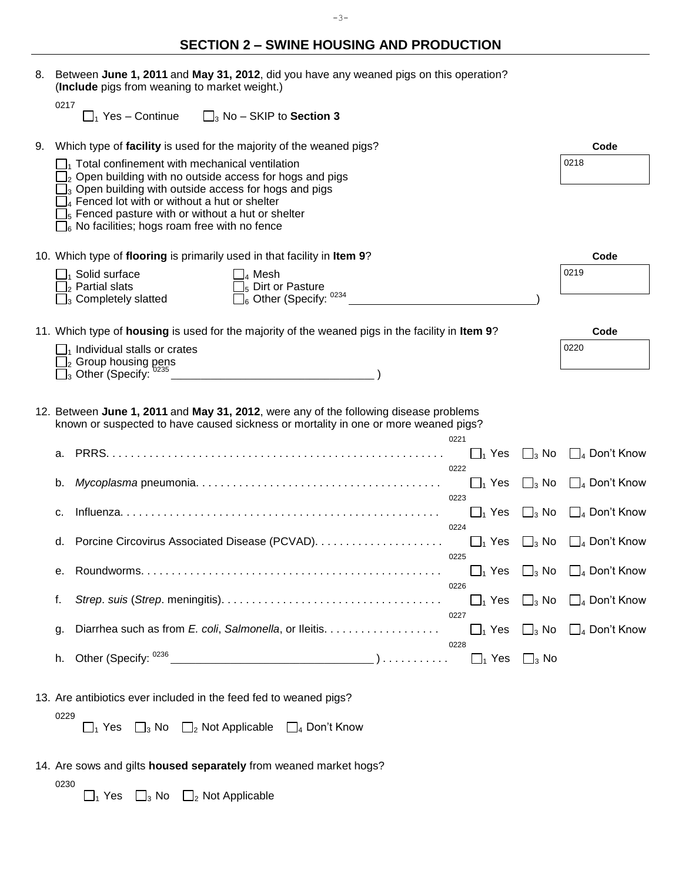| 8. | Between June 1, 2011 and May 31, 2012, did you have any weaned pigs on this operation?<br>(Include pigs from weaning to market weight.)                                                                                                                                                                                                                                                      |                                                       |
|----|----------------------------------------------------------------------------------------------------------------------------------------------------------------------------------------------------------------------------------------------------------------------------------------------------------------------------------------------------------------------------------------------|-------------------------------------------------------|
|    | 0217<br>$\Box_1$ Yes – Continue $\Box_3$ No – SKIP to <b>Section 3</b>                                                                                                                                                                                                                                                                                                                       |                                                       |
| 9. | Which type of facility is used for the majority of the weaned pigs?                                                                                                                                                                                                                                                                                                                          | Code                                                  |
|    | $\Box$ <sub>1</sub> Total confinement with mechanical ventilation<br>$\Box_2$ Open building with no outside access for hogs and pigs<br>$\mathbb{I}_3$ Open building with outside access for hogs and pigs<br>$\Box_4$ Fenced lot with or without a hut or shelter<br>$\mathbb{J}_5$ Fenced pasture with or without a hut or shelter<br>$\Box_6$ No facilities; hogs roam free with no fence | 0218                                                  |
|    | 10. Which type of flooring is primarily used in that facility in Item 9?                                                                                                                                                                                                                                                                                                                     | Code                                                  |
|    | $\Box_1$ Solid surface<br>$\Box_4$ Mesh<br>$\Box$ <sub>2</sub> Partial slats<br>$\Box$ <sub>5</sub> Dirt or Pasture<br>$\Box_6$ Other (Specify: $0234$<br>$\square$ <sub>3</sub> Completely slatted                                                                                                                                                                                          | 0219                                                  |
|    | 11. Which type of housing is used for the majority of the weaned pigs in the facility in Item 9?                                                                                                                                                                                                                                                                                             | Code                                                  |
|    | $\Box$ <sub>1</sub> Individual stalls or crates                                                                                                                                                                                                                                                                                                                                              | 0220                                                  |
|    | $\Box_2$ Group housing pens<br>$\Box_3$ Other (Specify: $^{0235}$ $\_$                                                                                                                                                                                                                                                                                                                       |                                                       |
|    | 12. Between June 1, 2011 and May 31, 2012, were any of the following disease problems<br>known or suspected to have caused sickness or mortality in one or more weaned pigs?<br>0221                                                                                                                                                                                                         |                                                       |
|    | $\Box_3$ No<br>$\Box_1$ Yes<br>0222                                                                                                                                                                                                                                                                                                                                                          | $\Box$ <sub>4</sub> Don't Know                        |
|    | b.<br>$\Box_1$ Yes<br>$\Box_3$ No<br>0223                                                                                                                                                                                                                                                                                                                                                    | $\Box$ <sub>4</sub> Don't Know                        |
|    | $\Box_1$ Yes<br>c.<br>0224                                                                                                                                                                                                                                                                                                                                                                   | $\Box$ <sub>3</sub> No $\Box$ <sub>4</sub> Don't Know |
|    | $\Box$ <sub>3</sub> No<br>$\Box_1$ Yes<br>0225                                                                                                                                                                                                                                                                                                                                               | $\Box$ <sub>4</sub> Don't Know                        |
|    | е.<br>0226                                                                                                                                                                                                                                                                                                                                                                                   | $\Box_1$ Yes $\Box_3$ No $\Box_4$ Don't Know          |
|    | f.<br>0227                                                                                                                                                                                                                                                                                                                                                                                   | $\Box_1$ Yes $\Box_3$ No $\Box_4$ Don't Know          |
|    | Diarrhea such as from E. coli, Salmonella, or Ileitis.<br>g.<br>0228                                                                                                                                                                                                                                                                                                                         | $\Box_1$ Yes $\Box_3$ No $\Box_4$ Don't Know          |
|    | $\Box_3$ No<br>h.                                                                                                                                                                                                                                                                                                                                                                            |                                                       |
|    | 13. Are antibiotics ever included in the feed fed to weaned pigs?<br>0229                                                                                                                                                                                                                                                                                                                    |                                                       |
|    | $\Box_1$ Yes $\Box_3$ No $\Box_2$ Not Applicable $\Box_4$ Don't Know                                                                                                                                                                                                                                                                                                                         |                                                       |
|    | 14. Are sows and gilts housed separately from weaned market hogs?<br>0230                                                                                                                                                                                                                                                                                                                    |                                                       |

 $_1$  Yes  $\Box_3$  No  $\Box_2$  Not Applicable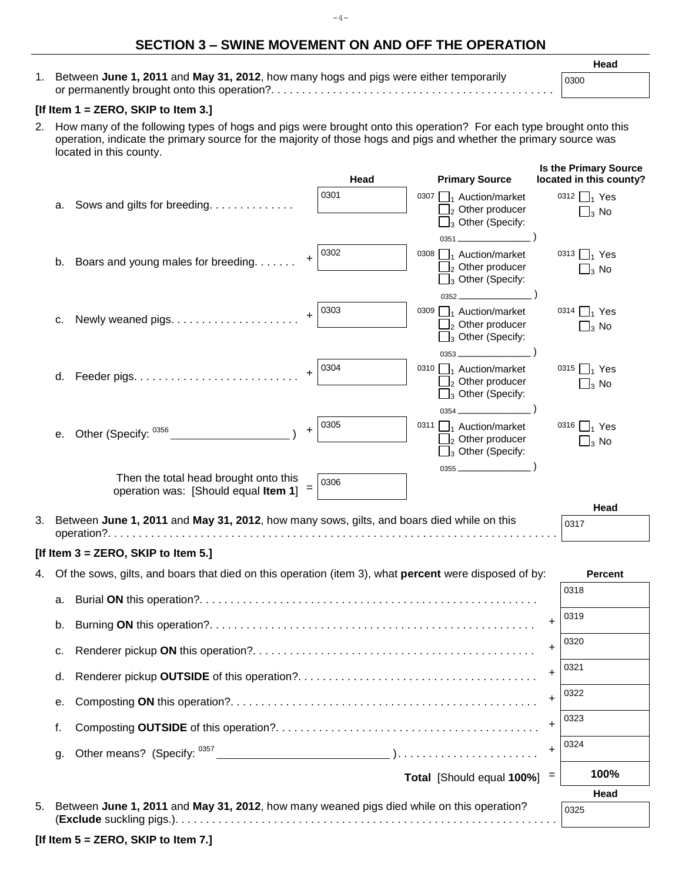## **SECTION 3 – SWINE MOVEMENT ON AND OFF THE OPERATION**

 $-4-$ 

1. Between **June 1, 2011** and **May 31, 2012**, how many hogs and pigs were either temporarily or permanently brought onto this operation?. . . . . . . . . . . . . . . . . . . . . . . . . . . . . . . . . . . . . . . . . . . . . .

#### **Head**

| ۰.<br>٠<br>۰.<br>٠<br>× |  |
|-------------------------|--|
|-------------------------|--|

### **[If Item 1 = ZERO, SKIP to Item 3.]**

2. How many of the following types of hogs and pigs were brought onto this operation? For each type brought onto this operation, indicate the primary source for the majority of those hogs and pigs and whether the primary source was located in this county.

|    |                                                                                                              |                                                                                           |           | Head | <b>Primary Source</b>                                             |           | <b>Is the Primary Source</b><br>located in this county? |
|----|--------------------------------------------------------------------------------------------------------------|-------------------------------------------------------------------------------------------|-----------|------|-------------------------------------------------------------------|-----------|---------------------------------------------------------|
|    |                                                                                                              |                                                                                           |           | 0301 | 0307 $\Box$ <sub>1</sub> Auction/market                           |           | 0312 $\Box$ <sub>1</sub> Yes                            |
|    | а.                                                                                                           | Sows and gilts for breeding.                                                              |           |      | $\Box_2$ Other producer<br>$\square$ <sub>3</sub> Other (Specify: |           | $\Box_3$ No                                             |
|    |                                                                                                              |                                                                                           |           |      |                                                                   |           |                                                         |
|    |                                                                                                              |                                                                                           | $\ddot{}$ | 0302 | 0308 $\Box_1$ Auction/market                                      |           | 0313 $\Box$ <sub>1</sub> Yes                            |
|    | b.                                                                                                           | Boars and young males for breeding.                                                       |           |      | $\Box_2$ Other producer                                           |           | $\Box_3$ No                                             |
|    |                                                                                                              |                                                                                           |           |      | $\Box_3$ Other (Specify:<br>$0352$                                |           |                                                         |
|    |                                                                                                              |                                                                                           |           | 0303 | 0309 $\Box$ <sub>1</sub> Auction/market                           |           | 0314 $\Box$ <sub>1</sub> Yes                            |
|    | c.                                                                                                           |                                                                                           | $\ddot{}$ |      | $\Box_2$ Other producer                                           |           | $\Box_3$ No                                             |
|    |                                                                                                              |                                                                                           |           |      | $\Box_3$ Other (Specify:                                          |           |                                                         |
|    |                                                                                                              |                                                                                           |           | 0304 | 0310 $\Box$ <sub>1</sub> Auction/market                           |           | 0315 $\Box$ <sub>1</sub> Yes                            |
|    | d.                                                                                                           |                                                                                           | $\ddot{}$ |      | $\Box_2$ Other producer                                           |           | $\Box_3$ No                                             |
|    |                                                                                                              |                                                                                           |           |      | $\Box_3$ Other (Specify:                                          |           |                                                         |
|    |                                                                                                              |                                                                                           |           | 0305 | 0311 $\Box$ <sub>1</sub> Auction/market                           |           | 0316 $\Box$ <sub>1</sub> Yes                            |
|    | е.                                                                                                           | Other (Specify: 0356                                                                      | $\ddot{}$ |      | $\Box_2$ Other producer                                           |           | $\mathbf{\Box}_3$ No                                    |
|    |                                                                                                              |                                                                                           |           |      | $\Box_3$ Other (Specify:                                          |           |                                                         |
|    |                                                                                                              | Then the total head brought onto this                                                     |           | 0306 | $0355$                                                            |           |                                                         |
|    |                                                                                                              | operation was: [Should equal Item 1]                                                      | $=$       |      |                                                                   |           |                                                         |
| 3. |                                                                                                              | Between June 1, 2011 and May 31, 2012, how many sows, gilts, and boars died while on this |           |      |                                                                   |           | Head                                                    |
|    |                                                                                                              |                                                                                           |           |      |                                                                   |           | 0317                                                    |
|    |                                                                                                              | [If Item $3 =$ ZERO, SKIP to Item 5.]                                                     |           |      |                                                                   |           |                                                         |
| 4. | Of the sows, gilts, and boars that died on this operation (item 3), what <b>percent</b> were disposed of by: |                                                                                           |           |      | <b>Percent</b>                                                    |           |                                                         |
|    | а.                                                                                                           |                                                                                           |           |      |                                                                   |           | 0318                                                    |
|    |                                                                                                              |                                                                                           |           |      |                                                                   |           | 0319                                                    |
|    | b.                                                                                                           |                                                                                           |           |      |                                                                   | $\ddot{}$ |                                                         |
|    | c.                                                                                                           |                                                                                           |           |      |                                                                   | $\ddot{}$ | 0320                                                    |
|    | d.                                                                                                           |                                                                                           |           |      |                                                                   | $\ddot{}$ | 0321                                                    |
|    | е.                                                                                                           |                                                                                           |           |      |                                                                   | $\ddot{}$ | 0322                                                    |
|    | f.                                                                                                           |                                                                                           |           |      |                                                                   | $\ddot{}$ | 0323                                                    |
|    | g.                                                                                                           |                                                                                           |           |      |                                                                   | +         | 0324                                                    |
|    |                                                                                                              |                                                                                           |           |      | <b>Total</b> [Should equal $100\%$ ] =                            |           | 100%                                                    |
|    |                                                                                                              |                                                                                           |           |      |                                                                   |           | Head                                                    |
| 5. |                                                                                                              | Between June 1, 2011 and May 31, 2012, how many weaned pigs died while on this operation? |           |      |                                                                   |           | 0325                                                    |
|    |                                                                                                              | [If Item $5 =$ ZERO, SKIP to Item 7.]                                                     |           |      |                                                                   |           |                                                         |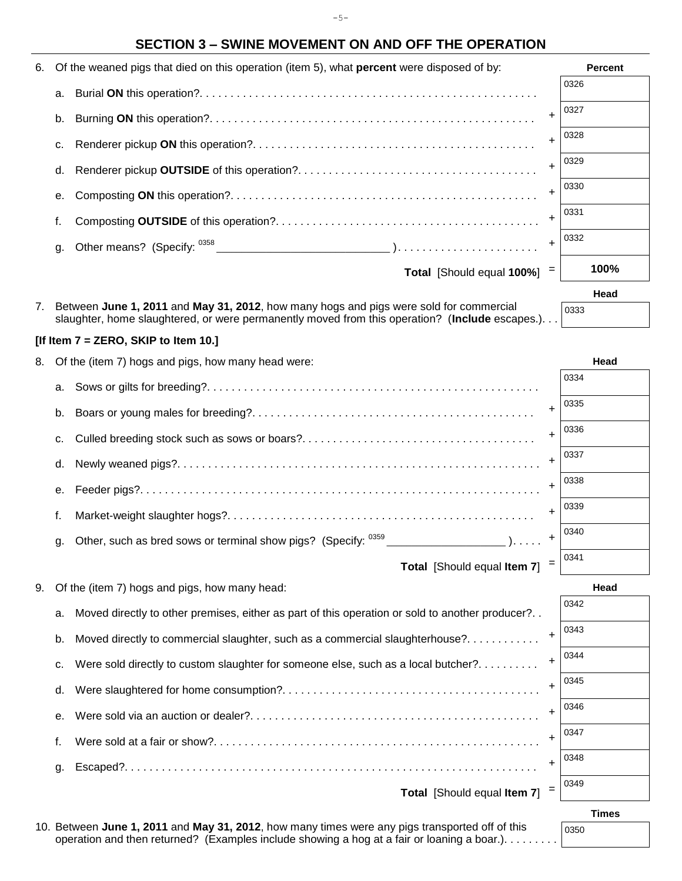$-5-$ 

## **SECTION 3 – SWINE MOVEMENT ON AND OFF THE OPERATION**

| 6. Of the weaned pigs that died on this operation (item 5), what <b>percent</b> were disposed of by: |                                 | <b>Percent</b> |
|------------------------------------------------------------------------------------------------------|---------------------------------|----------------|
| a.                                                                                                   |                                 | 0326           |
| b.                                                                                                   |                                 | 0327           |
| c.                                                                                                   |                                 | 0328           |
| d.                                                                                                   |                                 | 0329           |
| е.                                                                                                   |                                 | 0330           |
| f.                                                                                                   |                                 | 0331           |
| α.                                                                                                   |                                 | 0332           |
|                                                                                                      | Total [Should equal $100\%$ ] = | 100%           |

| 7. Between June 1, 2011 and May 31, 2012, how many hogs and pigs were sold for commercial      |
|------------------------------------------------------------------------------------------------|
| slaughter, home slaughtered, or were permanently moved from this operation? (Include escapes.) |

#### **[If Item 7 = ZERO, SKIP to Item 10.]**

8. Of the (item 7) hogs and pigs, how many head were: **Head** by a state of the state of the **Head** 

| a.      |                                 | 0334 |
|---------|---------------------------------|------|
| b.      |                                 | 0335 |
| C.      |                                 | 0336 |
| d.      |                                 | 0337 |
| $e_{1}$ |                                 | 0338 |
|         |                                 | 0339 |
| g.      |                                 | 0340 |
|         | Total [Should equal Item $71 =$ | 0341 |

|  | Total [Should equal Item 7] |  |
|--|-----------------------------|--|
|--|-----------------------------|--|

| a.      | Moved directly to other premises, either as part of this operation or sold to another producer? |   | 0342 |
|---------|-------------------------------------------------------------------------------------------------|---|------|
| b.      | Moved directly to commercial slaughter, such as a commercial slaughterhouse?                    |   | 0343 |
| C.      | Were sold directly to custom slaughter for someone else, such as a local butcher?               |   | 0344 |
|         |                                                                                                 |   | 0345 |
| $e_{1}$ |                                                                                                 |   | 0346 |
|         |                                                                                                 |   | 0347 |
| a.      |                                                                                                 |   | 0348 |
|         | Total [Should equal Item 7]                                                                     | = | 0349 |

9. Of the (item 7) hogs and pigs, how many head: **Head**

**Times**

**Head**

0333

n. . .

10. Between **June 1, 2011** and **May 31, 2012**, how many times were any pigs transported off of this operation and then returned? (Examples include showing a hog at a fair or loaning a boar.). . . . . . . . .

0350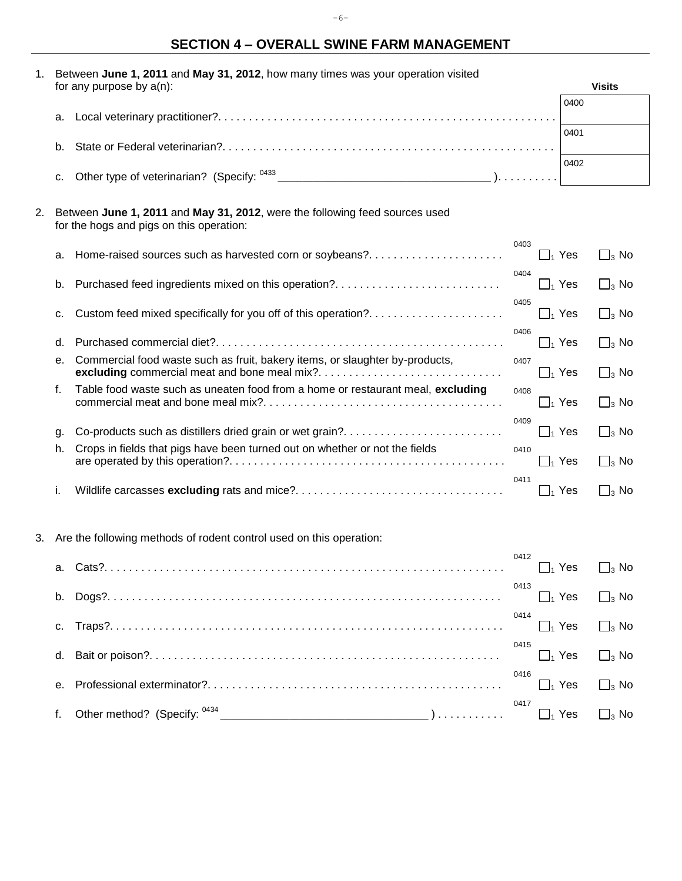# **SECTION 4 – OVERALL SWINE FARM MANAGEMENT**

| 1. |    | Between June 1, 2011 and May 31, 2012, how many times was your operation visited                                        |                      |      |               |  |  |  |  |  |
|----|----|-------------------------------------------------------------------------------------------------------------------------|----------------------|------|---------------|--|--|--|--|--|
|    |    | for any purpose by $a(n)$ :                                                                                             |                      |      | <b>Visits</b> |  |  |  |  |  |
|    | а. |                                                                                                                         |                      | 0400 |               |  |  |  |  |  |
|    |    |                                                                                                                         |                      | 0401 |               |  |  |  |  |  |
|    | b. |                                                                                                                         |                      |      |               |  |  |  |  |  |
|    |    |                                                                                                                         |                      | 0402 |               |  |  |  |  |  |
|    | С. |                                                                                                                         |                      |      |               |  |  |  |  |  |
|    |    |                                                                                                                         |                      |      |               |  |  |  |  |  |
| 2. |    | Between June 1, 2011 and May 31, 2012, were the following feed sources used<br>for the hogs and pigs on this operation: |                      |      |               |  |  |  |  |  |
|    | а. | Home-raised sources such as harvested corn or soybeans?                                                                 | 0403<br>$\Box_1$ Yes |      | $\Box_3$ No   |  |  |  |  |  |
|    | b. | Purchased feed ingredients mixed on this operation?                                                                     | 0404<br>$\Box_1$ Yes |      | $\Box_3$ No   |  |  |  |  |  |
|    | с. | Custom feed mixed specifically for you off of this operation?                                                           | 0405<br>$\Box_1$ Yes |      | $\Box_3$ No   |  |  |  |  |  |
|    | d. |                                                                                                                         | 0406<br>$\Box_1$ Yes |      | $\Box_3$ No   |  |  |  |  |  |
|    | е. | Commercial food waste such as fruit, bakery items, or slaughter by-products,                                            | 0407<br>$\Box_1$ Yes |      | $\Box_3$ No   |  |  |  |  |  |
|    | f. | Table food waste such as uneaten food from a home or restaurant meal, excluding                                         | 0408                 |      |               |  |  |  |  |  |
|    |    |                                                                                                                         | $\Box_1$ Yes         |      | $\Box_3$ No   |  |  |  |  |  |
|    | g. | Co-products such as distillers dried grain or wet grain?                                                                | 0409<br>$\Box_1$ Yes |      | $\Box_3$ No   |  |  |  |  |  |
|    | h. | Crops in fields that pigs have been turned out on whether or not the fields                                             | 0410<br>$\Box_1$ Yes |      |               |  |  |  |  |  |
|    |    |                                                                                                                         |                      |      | $\Box_3$ No   |  |  |  |  |  |
|    | i. |                                                                                                                         | 0411<br>$\Box_1$ Yes |      | $\Box_3$ No   |  |  |  |  |  |
|    |    |                                                                                                                         |                      |      |               |  |  |  |  |  |
| 3. |    | Are the following methods of rodent control used on this operation:                                                     |                      |      |               |  |  |  |  |  |
|    |    | a. Cats?                                                                                                                | 0412                 |      |               |  |  |  |  |  |
|    |    | .                                                                                                                       | $\Box_1$ Yes         |      | $\Box_3$ No   |  |  |  |  |  |
|    | b. |                                                                                                                         | 0413<br>$\Box_1$ Yes |      | $\Box_3$ No   |  |  |  |  |  |
|    | c. |                                                                                                                         | 0414<br>$\Box_1$ Yes |      | $\Box_3$ No   |  |  |  |  |  |
|    |    |                                                                                                                         | 0415                 |      |               |  |  |  |  |  |
|    | d. |                                                                                                                         | $\Box_1$ Yes         |      | $\Box_3$ No   |  |  |  |  |  |
|    | е. |                                                                                                                         | 0416<br>$\Box_1$ Yes |      | $\Box_3$ No   |  |  |  |  |  |
|    | f. |                                                                                                                         | 0417<br>$\Box_1$ Yes |      | $\Box_3$ No   |  |  |  |  |  |

-6-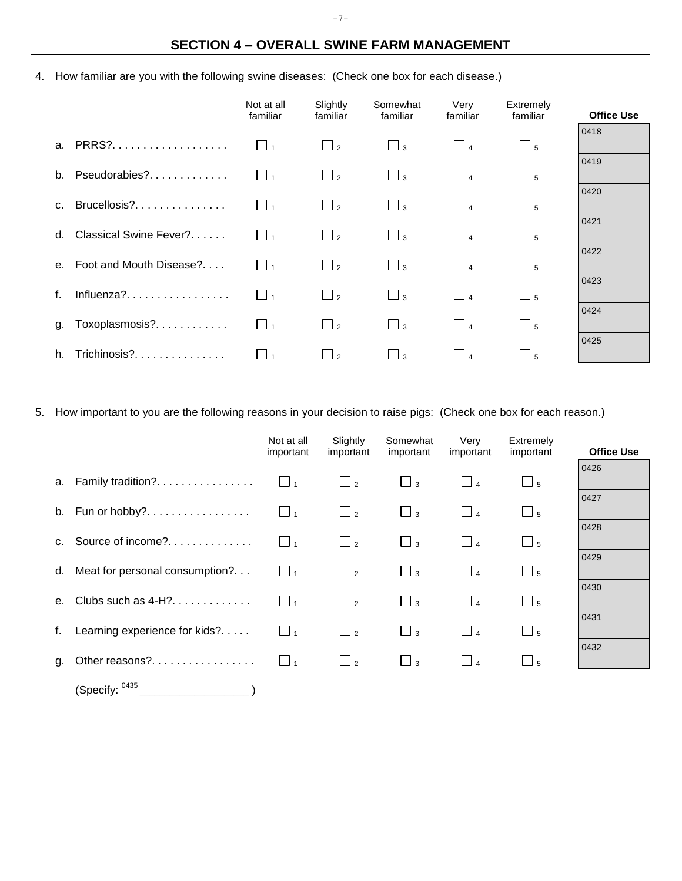## **SECTION 4 – OVERALL SWINE FARM MANAGEMENT**

4. How familiar are you with the following swine diseases: (Check one box for each disease.)

|                |                            | Not at all<br>familiar | Slightly<br>familiar | Somewhat<br>familiar | Very<br>familiar | Extremely<br>familiar | <b>Office Use</b> |
|----------------|----------------------------|------------------------|----------------------|----------------------|------------------|-----------------------|-------------------|
|                | a. PRRS?                   | $\Box$ 1               | $\Box$ <sub>2</sub>  | $\Box$ <sub>3</sub>  | $\Box$           | $\Box$ 5              | 0418              |
|                | b. Pseudorabies?           | $\Box$                 | $\Box$ 2             | $\Box$ 3             | $\Box$ 4         | $\Box$ 5              | 0419              |
| C <sub>1</sub> | Brucellosis?               | $\Box$                 | $\Box$ <sub>2</sub>  | $\Box$ <sub>3</sub>  | $\Box$ 4         | $\Box$ 5              | 0420              |
|                | d. Classical Swine Fever?  | $\mathbf{1}$           | $\Box$ <sub>2</sub>  | $\Box$ 3             | $\Box$ 4         | $\Box$ 5              | 0421              |
|                | e. Foot and Mouth Disease? | $\Box$ 1               | $\Box$ <sub>2</sub>  | $\Box$ 3             | $\Box$ 4         | $\Box$ 5              | 0422              |
| f.             | Influenza?                 | $\mathbf{1}$           | $\Box$ <sub>2</sub>  | $\Box$ 3             | $\Box$ 4         | $\Box$ 5              | 0423              |
|                | g. Toxoplasmosis?          | $\mathbf{1}$           | $\Box$ 2             | $\Box$ <sub>3</sub>  | $\Box$ 4         | $\Box$ 5              | 0424              |
| h.             | Trichinosis?               | $\Box$ 1               | $\Box$ 2             | $\Box$ 3             |                  | $-5$                  | 0425              |

5. How important to you are the following reasons in your decision to raise pigs: (Check one box for each reason.)

|                |                                | Not at all<br>important | Slightly<br>important | Somewhat<br>important | Very<br>important | Extremely<br>important | <b>Office Use</b> |
|----------------|--------------------------------|-------------------------|-----------------------|-----------------------|-------------------|------------------------|-------------------|
|                | a. Family tradition?           | $\Box$                  | $\Box$ 2              | $\Box$ <sub>3</sub>   | $\Box$ 4          | $\Box$ 5               | 0426              |
|                | b. Fun or hobby?               | $\Box$ 1                | $\sqcup$ 2            | $\Box$ 3              | $\Box$            | $\Box$ 5               | 0427              |
| C <sub>1</sub> | Source of income?              | $\Box$ 1                | $\Box$ 2              | $\Box$ 3              | $\Box$ 4          | $\Box$ 5               | 0428              |
| d.             | Meat for personal consumption? | $\Box$ 1                | $\Box$ 2              | $\Box$ 3              | $\Box$            | $\Box$ 5               | 0429              |
| е.             | Clubs such as $4-H$ ?          | $\Box$ 1                | $\Box$ <sub>2</sub>   | $\Box$ 3              | $\Box$            | $\Box$ 5               | 0430              |
| f.             | Learning experience for kids?  | $\square$ 1             | $\Box$ <sub>2</sub>   | $\Box$ <sub>3</sub>   | $\Box$            | $\Box$ 5               | 0431              |
| g.             | Other reasons?                 | $\Box$ <sub>1</sub>     | $\Box$ 2              | $\Box$ 3              | $\Box$ 4          | $\Box$ 5               | 0432              |
|                | (Specify: 0435                 |                         |                       |                       |                   |                        |                   |